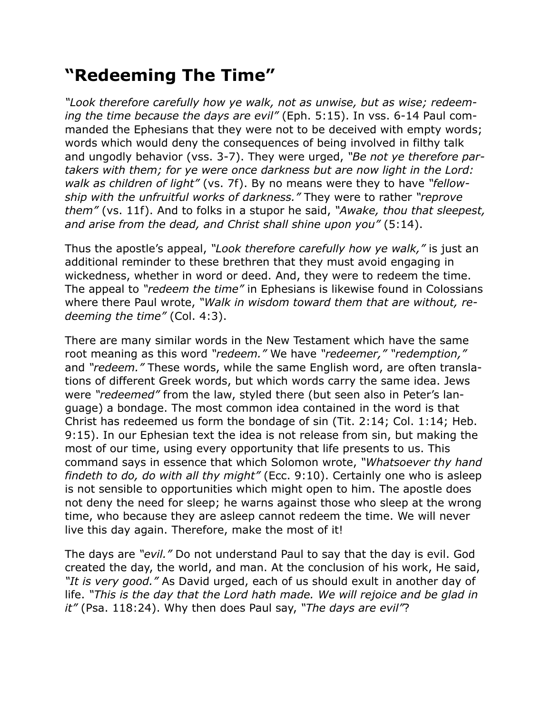## **"Redeeming The Time"**

*"Look therefore carefully how ye walk, not as unwise, but as wise; redeeming the time because the days are evil"* (Eph. 5:15). In vss. 6-14 Paul commanded the Ephesians that they were not to be deceived with empty words; words which would deny the consequences of being involved in filthy talk and ungodly behavior (vss. 3-7). They were urged, *"Be not ye therefore partakers with them; for ye were once darkness but are now light in the Lord: walk as children of light"* (vs. 7f). By no means were they to have *"fellowship with the unfruitful works of darkness."* They were to rather *"reprove them"* (vs. 11f). And to folks in a stupor he said, *"Awake, thou that sleepest, and arise from the dead, and Christ shall shine upon you"* (5:14).

Thus the apostle's appeal, *"Look therefore carefully how ye walk,"* is just an additional reminder to these brethren that they must avoid engaging in wickedness, whether in word or deed. And, they were to redeem the time. The appeal to *"redeem the time"* in Ephesians is likewise found in Colossians where there Paul wrote, *"Walk in wisdom toward them that are without, redeeming the time"* (Col. 4:3).

There are many similar words in the New Testament which have the same root meaning as this word *"redeem."* We have *"redeemer," "redemption,"* and *"redeem."* These words, while the same English word, are often translations of different Greek words, but which words carry the same idea. Jews were *"redeemed"* from the law, styled there (but seen also in Peter's language) a bondage. The most common idea contained in the word is that Christ has redeemed us form the bondage of sin (Tit. 2:14; Col. 1:14; Heb. 9:15). In our Ephesian text the idea is not release from sin, but making the most of our time, using every opportunity that life presents to us. This command says in essence that which Solomon wrote, *"Whatsoever thy hand findeth to do, do with all thy might"* (Ecc. 9:10). Certainly one who is asleep is not sensible to opportunities which might open to him. The apostle does not deny the need for sleep; he warns against those who sleep at the wrong time, who because they are asleep cannot redeem the time. We will never live this day again. Therefore, make the most of it!

The days are *"evil."* Do not understand Paul to say that the day is evil. God created the day, the world, and man. At the conclusion of his work, He said, *"It is very good."* As David urged, each of us should exult in another day of life. *"This is the day that the Lord hath made. We will rejoice and be glad in it"* (Psa. 118:24). Why then does Paul say, *"The days are evil"*?